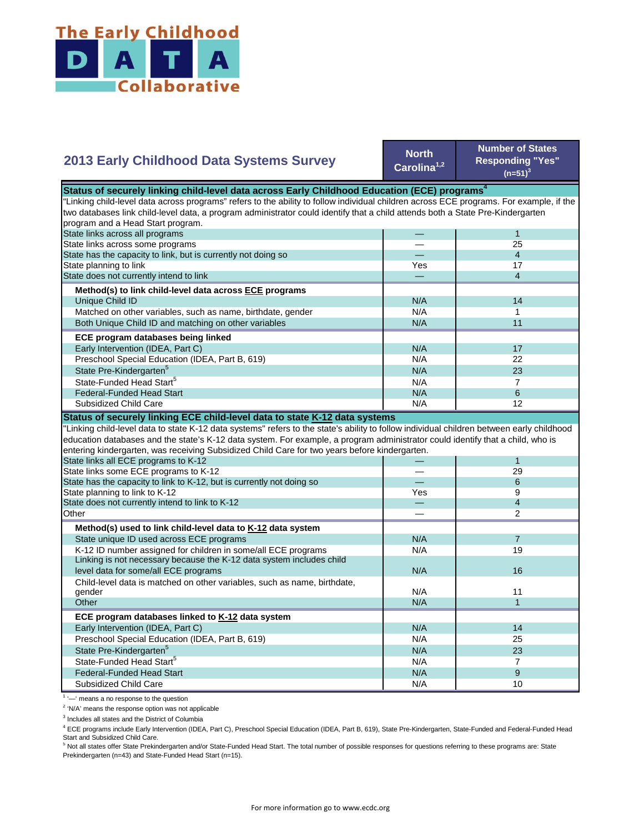

## **2013 Early Childhood Data Systems Survey**

**North Carolina1,2**

**Number of States Responding "Yes"**   $(n=51)^3$ 

| Status of securely linking child-level data across Early Childhood Education (ECE) programs <sup>4</sup>                                  |     |                          |  |
|-------------------------------------------------------------------------------------------------------------------------------------------|-----|--------------------------|--|
| "Linking child-level data across programs" refers to the ability to follow individual children across ECE programs. For example, if the   |     |                          |  |
| two databases link child-level data, a program administrator could identify that a child attends both a State Pre-Kindergarten            |     |                          |  |
| program and a Head Start program.                                                                                                         |     |                          |  |
| State links across all programs                                                                                                           |     | $\mathbf{1}$             |  |
| State links across some programs                                                                                                          |     | 25                       |  |
| State has the capacity to link, but is currently not doing so                                                                             |     | $\overline{4}$           |  |
| State planning to link                                                                                                                    | Yes | 17                       |  |
| State does not currently intend to link                                                                                                   |     | $\overline{4}$           |  |
| Method(s) to link child-level data across ECE programs                                                                                    |     |                          |  |
| Unique Child ID                                                                                                                           | N/A | 14                       |  |
| Matched on other variables, such as name, birthdate, gender                                                                               | N/A | $\mathbf 1$              |  |
| Both Unique Child ID and matching on other variables                                                                                      | N/A | 11                       |  |
| ECE program databases being linked                                                                                                        |     |                          |  |
| Early Intervention (IDEA, Part C)                                                                                                         | N/A | 17                       |  |
| Preschool Special Education (IDEA, Part B, 619)                                                                                           | N/A | 22                       |  |
| State Pre-Kindergarten <sup>5</sup>                                                                                                       | N/A | 23                       |  |
| State-Funded Head Start <sup>5</sup>                                                                                                      | N/A | $\overline{7}$           |  |
| <b>Federal-Funded Head Start</b>                                                                                                          | N/A | 6                        |  |
| Subsidized Child Care                                                                                                                     | N/A | 12                       |  |
| Status of securely linking ECE child-level data to state K-12 data systems                                                                |     |                          |  |
| "Linking child-level data to state K-12 data systems" refers to the state's ability to follow individual children between early childhood |     |                          |  |
| education databases and the state's K-12 data system. For example, a program administrator could identify that a child, who is            |     |                          |  |
| entering kindergarten, was receiving Subsidized Child Care for two years before kindergarten.                                             |     |                          |  |
| State links all ECE programs to K-12                                                                                                      |     | $\mathbf{1}$             |  |
| State links some ECE programs to K-12                                                                                                     |     | 29                       |  |
| State has the capacity to link to K-12, but is currently not doing so                                                                     |     | 6                        |  |
| State planning to link to K-12                                                                                                            | Yes | 9                        |  |
| State does not currently intend to link to K-12                                                                                           |     | $\overline{\mathcal{L}}$ |  |
| Other                                                                                                                                     |     | $\overline{2}$           |  |
| Method(s) used to link child-level data to K-12 data system                                                                               |     |                          |  |
| State unique ID used across ECE programs                                                                                                  | N/A | $\overline{7}$           |  |
| K-12 ID number assigned for children in some/all ECE programs                                                                             | N/A | 19                       |  |
| Linking is not necessary because the K-12 data system includes child                                                                      |     |                          |  |
| level data for some/all ECE programs                                                                                                      | N/A | 16                       |  |
| Child-level data is matched on other variables, such as name, birthdate,                                                                  |     |                          |  |
| gender                                                                                                                                    | N/A | 11                       |  |
| Other                                                                                                                                     | N/A | $\mathbf{1}$             |  |
| ECE program databases linked to K-12 data system                                                                                          |     |                          |  |
| Early Intervention (IDEA, Part C)                                                                                                         | N/A | 14                       |  |
| Preschool Special Education (IDEA, Part B, 619)                                                                                           | N/A | 25                       |  |
| State Pre-Kindergarten <sup>5</sup>                                                                                                       | N/A | 23                       |  |
| State-Funded Head Start <sup>5</sup>                                                                                                      | N/A | $\overline{7}$           |  |
| <b>Federal-Funded Head Start</b>                                                                                                          | N/A | 9                        |  |
|                                                                                                                                           |     |                          |  |
| <b>Subsidized Child Care</b>                                                                                                              | N/A | 10                       |  |

<sup>1</sup> '-' means a no response to the question

<sup>2</sup> 'N/A' means the response option was not applicable

<sup>3</sup> Includes all states and the District of Columbia

<sup>4</sup> ECE programs include Early Intervention (IDEA, Part C), Preschool Special Education (IDEA, Part B, 619), State Pre-Kindergarten, State-Funded and Federal-Funded Head

Start and Subsidized Child Care.<br><sup>5</sup> Not all states offer State Prekindergarten and/or State-Funded Head Start. The total number of possible responses for questions referring to these programs are: State Prekindergarten (n=43) and State-Funded Head Start (n=15).